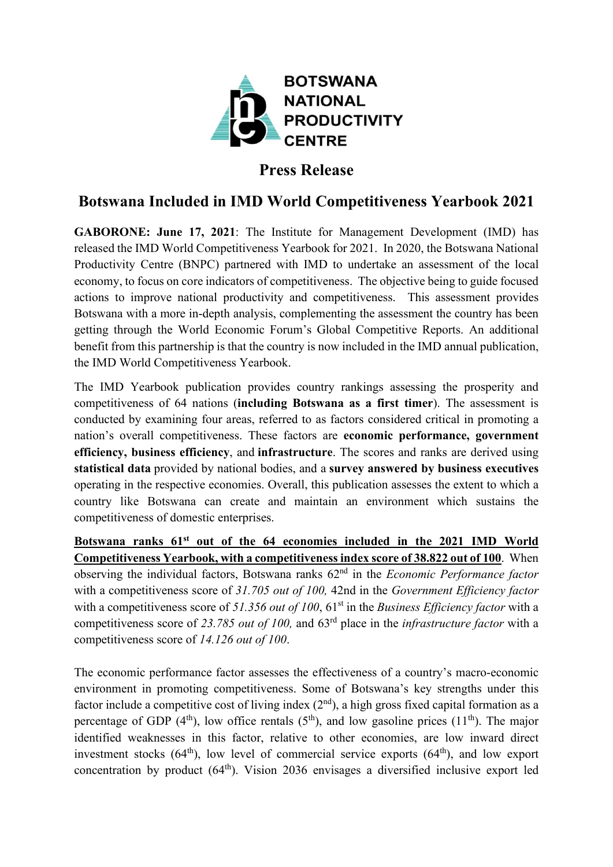

## **Press Release**

## **Botswana Included in IMD World Competitiveness Yearbook 2021**

**GABORONE: June 17, 2021**: The Institute for Management Development (IMD) has released the IMD World Competitiveness Yearbook for 2021. In 2020, the Botswana National Productivity Centre (BNPC) partnered with IMD to undertake an assessment of the local economy, to focus on core indicators of competitiveness. The objective being to guide focused actions to improve national productivity and competitiveness. This assessment provides Botswana with a more in-depth analysis, complementing the assessment the country has been getting through the World Economic Forum's Global Competitive Reports. An additional benefit from this partnership is that the country is now included in the IMD annual publication, the IMD World Competitiveness Yearbook.

The IMD Yearbook publication provides country rankings assessing the prosperity and competitiveness of 64 nations (**including Botswana as a first timer**). The assessment is conducted by examining four areas, referred to as factors considered critical in promoting a nation's overall competitiveness. These factors are **economic performance, government efficiency, business efficiency**, and **infrastructure**. The scores and ranks are derived using **statistical data** provided by national bodies, and a **survey answered by business executives** operating in the respective economies. Overall, this publication assesses the extent to which a country like Botswana can create and maintain an environment which sustains the competitiveness of domestic enterprises.

**Botswana ranks 61st out of the 64 economies included in the 2021 IMD World Competitiveness Yearbook, with a competitiveness index score of 38.822 out of 100**. When observing the individual factors, Botswana ranks 62nd in the *Economic Performance factor*  with a competitiveness score of *31.705 out of 100,* 42nd in the *Government Efficiency factor*  with a competitiveness score of 51.356 *out of 100*, 61<sup>st</sup> in the *Business Efficiency factor* with a competitiveness score of *23.785 out of 100,* and 63rd place in the *infrastructure factor* with a competitiveness score of *14.126 out of 100*.

The economic performance factor assesses the effectiveness of a country's macro-economic environment in promoting competitiveness. Some of Botswana's key strengths under this factor include a competitive cost of living index  $(2<sup>nd</sup>)$ , a high gross fixed capital formation as a percentage of GDP (4<sup>th</sup>), low office rentals (5<sup>th</sup>), and low gasoline prices (11<sup>th</sup>). The major identified weaknesses in this factor, relative to other economies, are low inward direct investment stocks  $(64<sup>th</sup>)$ , low level of commercial service exports  $(64<sup>th</sup>)$ , and low export concentration by product  $(64<sup>th</sup>)$ . Vision 2036 envisages a diversified inclusive export led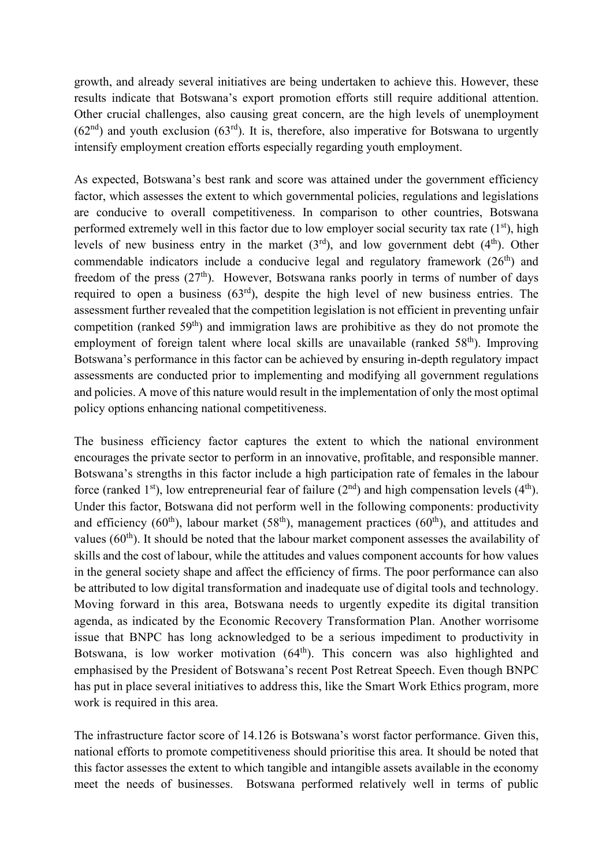growth, and already several initiatives are being undertaken to achieve this. However, these results indicate that Botswana's export promotion efforts still require additional attention. Other crucial challenges, also causing great concern, are the high levels of unemployment  $(62<sup>nd</sup>)$  and youth exclusion  $(63<sup>rd</sup>)$ . It is, therefore, also imperative for Botswana to urgently intensify employment creation efforts especially regarding youth employment.

As expected, Botswana's best rank and score was attained under the government efficiency factor, which assesses the extent to which governmental policies, regulations and legislations are conducive to overall competitiveness. In comparison to other countries, Botswana performed extremely well in this factor due to low employer social security tax rate  $(1<sup>st</sup>)$ , high levels of new business entry in the market  $(3<sup>rd</sup>)$ , and low government debt  $(4<sup>th</sup>)$ . Other commendable indicators include a conducive legal and regulatory framework  $(26<sup>th</sup>)$  and freedom of the press  $(27<sup>th</sup>)$ . However, Botswana ranks poorly in terms of number of days required to open a business  $(63<sup>rd</sup>)$ , despite the high level of new business entries. The assessment further revealed that the competition legislation is not efficient in preventing unfair competition (ranked  $59<sup>th</sup>$ ) and immigration laws are prohibitive as they do not promote the employment of foreign talent where local skills are unavailable (ranked  $58<sup>th</sup>$ ). Improving Botswana's performance in this factor can be achieved by ensuring in-depth regulatory impact assessments are conducted prior to implementing and modifying all government regulations and policies. A move of this nature would result in the implementation of only the most optimal policy options enhancing national competitiveness.

The business efficiency factor captures the extent to which the national environment encourages the private sector to perform in an innovative, profitable, and responsible manner. Botswana's strengths in this factor include a high participation rate of females in the labour force (ranked 1<sup>st</sup>), low entrepreneurial fear of failure ( $2<sup>nd</sup>$ ) and high compensation levels ( $4<sup>th</sup>$ ). Under this factor, Botswana did not perform well in the following components: productivity and efficiency (60<sup>th</sup>), labour market (58<sup>th</sup>), management practices (60<sup>th</sup>), and attitudes and values  $(60<sup>th</sup>)$ . It should be noted that the labour market component assesses the availability of skills and the cost of labour, while the attitudes and values component accounts for how values in the general society shape and affect the efficiency of firms. The poor performance can also be attributed to low digital transformation and inadequate use of digital tools and technology. Moving forward in this area, Botswana needs to urgently expedite its digital transition agenda, as indicated by the Economic Recovery Transformation Plan. Another worrisome issue that BNPC has long acknowledged to be a serious impediment to productivity in Botswana, is low worker motivation (64<sup>th</sup>). This concern was also highlighted and emphasised by the President of Botswana's recent Post Retreat Speech. Even though BNPC has put in place several initiatives to address this, like the Smart Work Ethics program, more work is required in this area.

The infrastructure factor score of 14.126 is Botswana's worst factor performance. Given this, national efforts to promote competitiveness should prioritise this area. It should be noted that this factor assesses the extent to which tangible and intangible assets available in the economy meet the needs of businesses. Botswana performed relatively well in terms of public